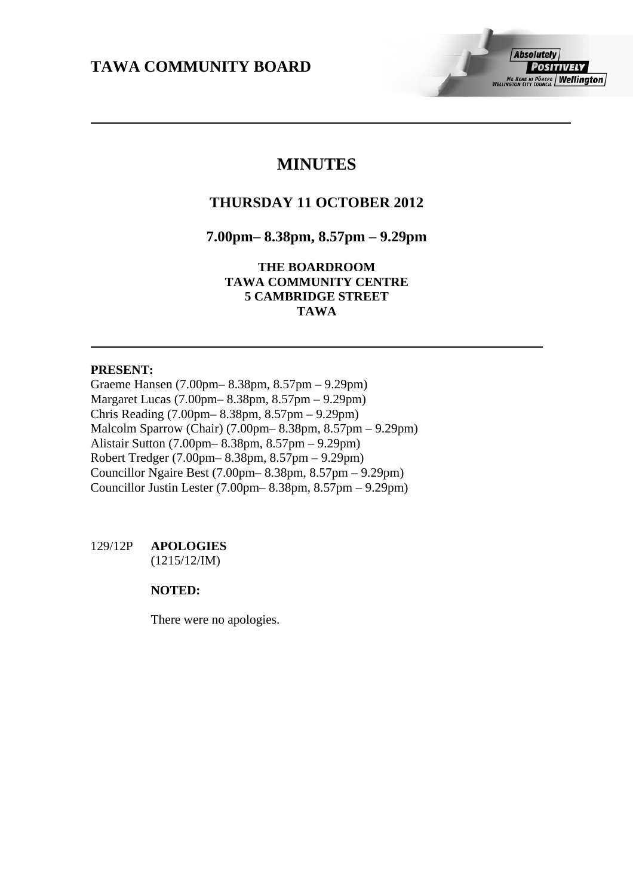# **MINUTES**

# **THURSDAY 11 OCTOBER 2012**

## **7.00pm– 8.38pm, 8.57pm – 9.29pm**

**THE BOARDROOM TAWA COMMUNITY CENTRE 5 CAMBRIDGE STREET TAWA** 

## **PRESENT:**

Graeme Hansen (7.00pm– 8.38pm, 8.57pm – 9.29pm) Margaret Lucas (7.00pm– 8.38pm, 8.57pm – 9.29pm) Chris Reading (7.00pm– 8.38pm, 8.57pm – 9.29pm) Malcolm Sparrow (Chair) (7.00pm– 8.38pm, 8.57pm – 9.29pm) Alistair Sutton (7.00pm– 8.38pm, 8.57pm – 9.29pm) Robert Tredger (7.00pm– 8.38pm, 8.57pm – 9.29pm) Councillor Ngaire Best (7.00pm– 8.38pm, 8.57pm – 9.29pm) Councillor Justin Lester (7.00pm– 8.38pm, 8.57pm – 9.29pm)

## 129/12P **APOLOGIES** (1215/12/IM)

## **NOTED:**

There were no apologies.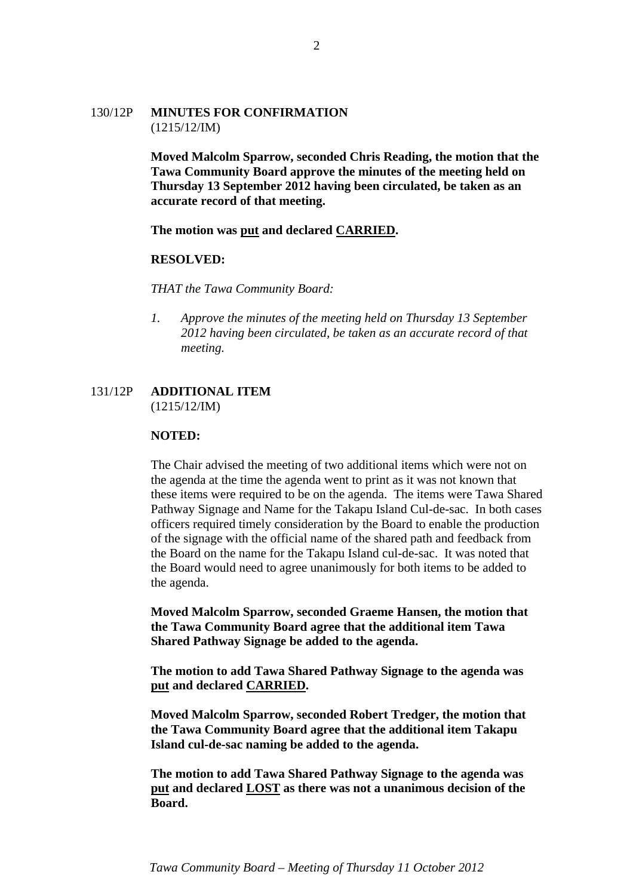## 130/12P **MINUTES FOR CONFIRMATION** (1215/12/IM)

**Moved Malcolm Sparrow, seconded Chris Reading, the motion that the Tawa Community Board approve the minutes of the meeting held on Thursday 13 September 2012 having been circulated, be taken as an accurate record of that meeting.** 

**The motion was put and declared CARRIED.** 

#### **RESOLVED:**

*THAT the Tawa Community Board:* 

*1. Approve the minutes of the meeting held on Thursday 13 September 2012 having been circulated, be taken as an accurate record of that meeting.* 

## 131/12P **ADDITIONAL ITEM** (1215/12/IM)

#### **NOTED:**

The Chair advised the meeting of two additional items which were not on the agenda at the time the agenda went to print as it was not known that these items were required to be on the agenda. The items were Tawa Shared Pathway Signage and Name for the Takapu Island Cul-de-sac. In both cases officers required timely consideration by the Board to enable the production of the signage with the official name of the shared path and feedback from the Board on the name for the Takapu Island cul-de-sac. It was noted that the Board would need to agree unanimously for both items to be added to the agenda.

**Moved Malcolm Sparrow, seconded Graeme Hansen, the motion that the Tawa Community Board agree that the additional item Tawa Shared Pathway Signage be added to the agenda.** 

**The motion to add Tawa Shared Pathway Signage to the agenda was put and declared CARRIED.** 

**Moved Malcolm Sparrow, seconded Robert Tredger, the motion that the Tawa Community Board agree that the additional item Takapu Island cul-de-sac naming be added to the agenda.** 

**The motion to add Tawa Shared Pathway Signage to the agenda was put and declared LOST as there was not a unanimous decision of the Board.**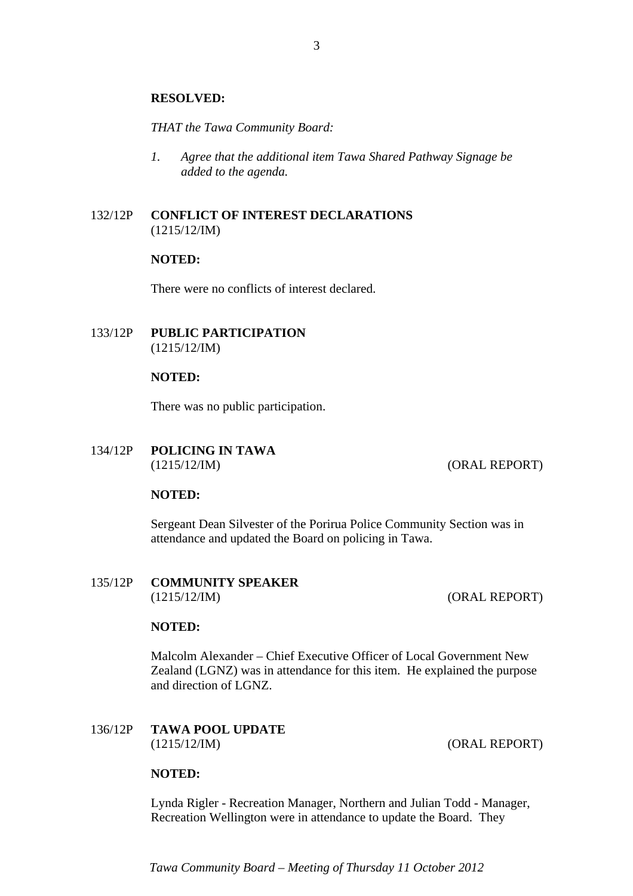#### **RESOLVED:**

*THAT the Tawa Community Board:* 

*1. Agree that the additional item Tawa Shared Pathway Signage be added to the agenda.* 

## 132/12P **CONFLICT OF INTEREST DECLARATIONS** (1215/12/IM)

#### **NOTED:**

There were no conflicts of interest declared.

## 133/12P **PUBLIC PARTICIPATION** (1215/12/IM)

## **NOTED:**

There was no public participation.

134/12P **POLICING IN TAWA** (1215/12/IM) (ORAL REPORT)

## **NOTED:**

Sergeant Dean Silvester of the Porirua Police Community Section was in attendance and updated the Board on policing in Tawa.

## 135/12P **COMMUNITY SPEAKER** (1215/12/IM) (ORAL REPORT)

## **NOTED:**

Malcolm Alexander – Chief Executive Officer of Local Government New Zealand (LGNZ) was in attendance for this item. He explained the purpose and direction of LGNZ.

136/12P **TAWA POOL UPDATE** (1215/12/IM) (ORAL REPORT)

#### **NOTED:**

Lynda Rigler - Recreation Manager, Northern and Julian Todd - Manager, Recreation Wellington were in attendance to update the Board. They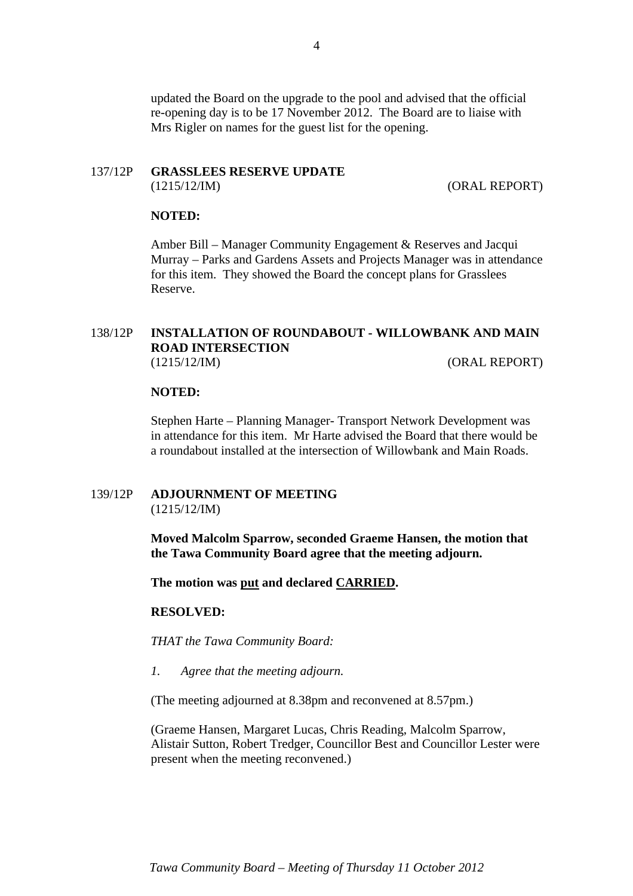updated the Board on the upgrade to the pool and advised that the official re-opening day is to be 17 November 2012. The Board are to liaise with Mrs Rigler on names for the guest list for the opening.

# 137/12P **GRASSLEES RESERVE UPDATE**

(1215/12/IM) (ORAL REPORT)

## **NOTED:**

Amber Bill – Manager Community Engagement & Reserves and Jacqui Murray – Parks and Gardens Assets and Projects Manager was in attendance for this item. They showed the Board the concept plans for Grasslees Reserve.

## 138/12P **INSTALLATION OF ROUNDABOUT - WILLOWBANK AND MAIN ROAD INTERSECTION** (1215/12/IM) (ORAL REPORT)

#### **NOTED:**

Stephen Harte – Planning Manager- Transport Network Development was in attendance for this item. Mr Harte advised the Board that there would be a roundabout installed at the intersection of Willowbank and Main Roads.

## 139/12P **ADJOURNMENT OF MEETING** (1215/12/IM)

**Moved Malcolm Sparrow, seconded Graeme Hansen, the motion that the Tawa Community Board agree that the meeting adjourn.** 

**The motion was put and declared CARRIED.** 

#### **RESOLVED:**

*THAT the Tawa Community Board:* 

*1. Agree that the meeting adjourn.* 

(The meeting adjourned at 8.38pm and reconvened at 8.57pm.)

(Graeme Hansen, Margaret Lucas, Chris Reading, Malcolm Sparrow, Alistair Sutton, Robert Tredger, Councillor Best and Councillor Lester were present when the meeting reconvened.)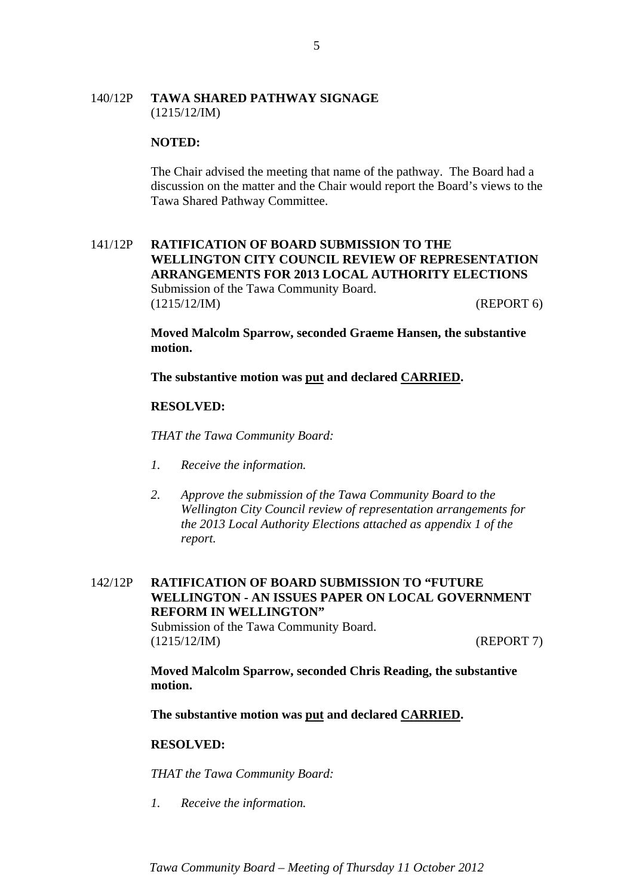## 140/12P **TAWA SHARED PATHWAY SIGNAGE** (1215/12/IM)

#### **NOTED:**

The Chair advised the meeting that name of the pathway. The Board had a discussion on the matter and the Chair would report the Board's views to the Tawa Shared Pathway Committee.

## 141/12P **RATIFICATION OF BOARD SUBMISSION TO THE WELLINGTON CITY COUNCIL REVIEW OF REPRESENTATION ARRANGEMENTS FOR 2013 LOCAL AUTHORITY ELECTIONS** Submission of the Tawa Community Board. (1215/12/IM) (REPORT 6)

**Moved Malcolm Sparrow, seconded Graeme Hansen, the substantive motion.** 

**The substantive motion was put and declared CARRIED.** 

#### **RESOLVED:**

*THAT the Tawa Community Board:* 

- *1. Receive the information.*
- *2. Approve the submission of the Tawa Community Board to the Wellington City Council review of representation arrangements for the 2013 Local Authority Elections attached as appendix 1 of the report.*

## 142/12P **RATIFICATION OF BOARD SUBMISSION TO "FUTURE WELLINGTON - AN ISSUES PAPER ON LOCAL GOVERNMENT REFORM IN WELLINGTON"**

Submission of the Tawa Community Board. (1215/12/IM) (REPORT 7)

**Moved Malcolm Sparrow, seconded Chris Reading, the substantive motion.** 

**The substantive motion was put and declared CARRIED.** 

#### **RESOLVED:**

*THAT the Tawa Community Board:* 

*1. Receive the information.*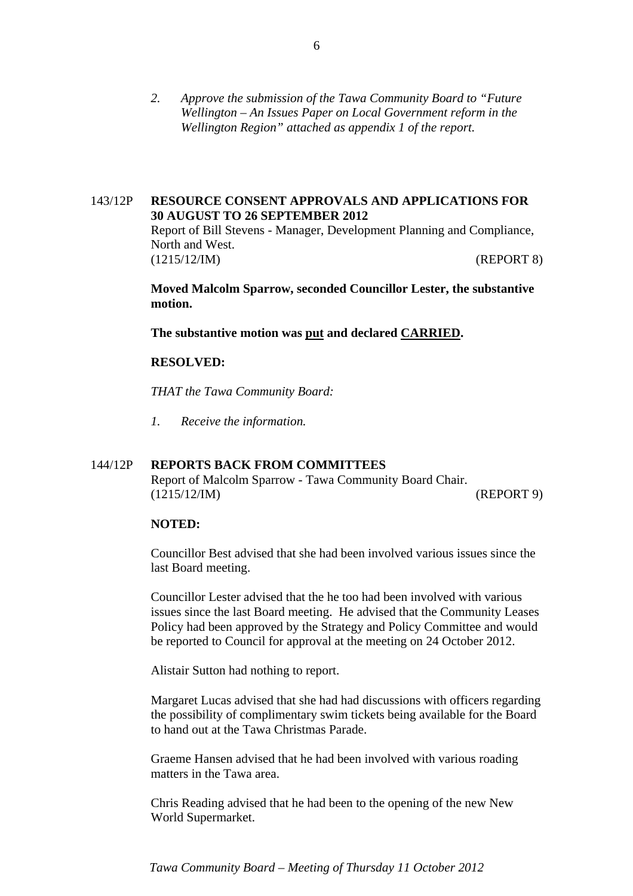*2. Approve the submission of the Tawa Community Board to "Future Wellington – An Issues Paper on Local Government reform in the Wellington Region" attached as appendix 1 of the report.* 

## 143/12P **RESOURCE CONSENT APPROVALS AND APPLICATIONS FOR 30 AUGUST TO 26 SEPTEMBER 2012**

Report of Bill Stevens - Manager, Development Planning and Compliance, North and West. (1215/12/IM) (REPORT 8)

**Moved Malcolm Sparrow, seconded Councillor Lester, the substantive motion.** 

**The substantive motion was put and declared CARRIED.** 

#### **RESOLVED:**

*THAT the Tawa Community Board:* 

*1. Receive the information.* 

## 144/12P **REPORTS BACK FROM COMMITTEES**

Report of Malcolm Sparrow - Tawa Community Board Chair. (1215/12/IM) (REPORT 9)

#### **NOTED:**

Councillor Best advised that she had been involved various issues since the last Board meeting.

Councillor Lester advised that the he too had been involved with various issues since the last Board meeting. He advised that the Community Leases Policy had been approved by the Strategy and Policy Committee and would be reported to Council for approval at the meeting on 24 October 2012.

Alistair Sutton had nothing to report.

Margaret Lucas advised that she had had discussions with officers regarding the possibility of complimentary swim tickets being available for the Board to hand out at the Tawa Christmas Parade.

Graeme Hansen advised that he had been involved with various roading matters in the Tawa area.

Chris Reading advised that he had been to the opening of the new New World Supermarket.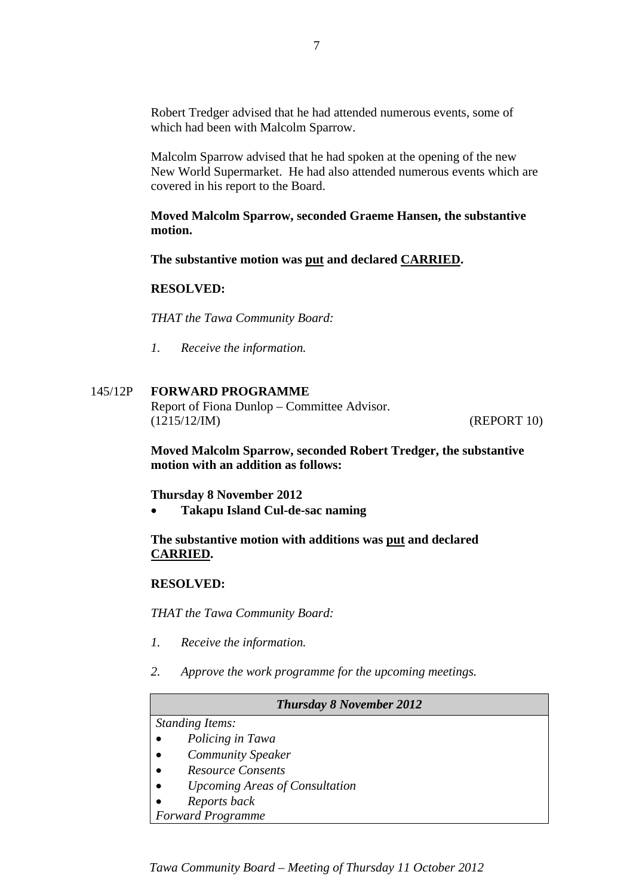Robert Tredger advised that he had attended numerous events, some of which had been with Malcolm Sparrow.

Malcolm Sparrow advised that he had spoken at the opening of the new New World Supermarket. He had also attended numerous events which are covered in his report to the Board.

**Moved Malcolm Sparrow, seconded Graeme Hansen, the substantive motion.** 

**The substantive motion was put and declared CARRIED.** 

## **RESOLVED:**

*THAT the Tawa Community Board:* 

*1. Receive the information.* 

## 145/12P **FORWARD PROGRAMME**

Report of Fiona Dunlop – Committee Advisor. (1215/12/IM) (REPORT 10)

**Moved Malcolm Sparrow, seconded Robert Tredger, the substantive motion with an addition as follows:** 

**Thursday 8 November 2012** 

**Takapu Island Cul-de-sac naming** 

**The substantive motion with additions was put and declared CARRIED.** 

## **RESOLVED:**

*THAT the Tawa Community Board:* 

- *1. Receive the information.*
- *2. Approve the work programme for the upcoming meetings.*

#### *Thursday 8 November 2012*

# *Standing Items:*

- *Policing in Tawa*
- *Community Speaker*
- *Resource Consents*
- *Upcoming Areas of Consultation*
- *Reports back*

*Forward Programme*